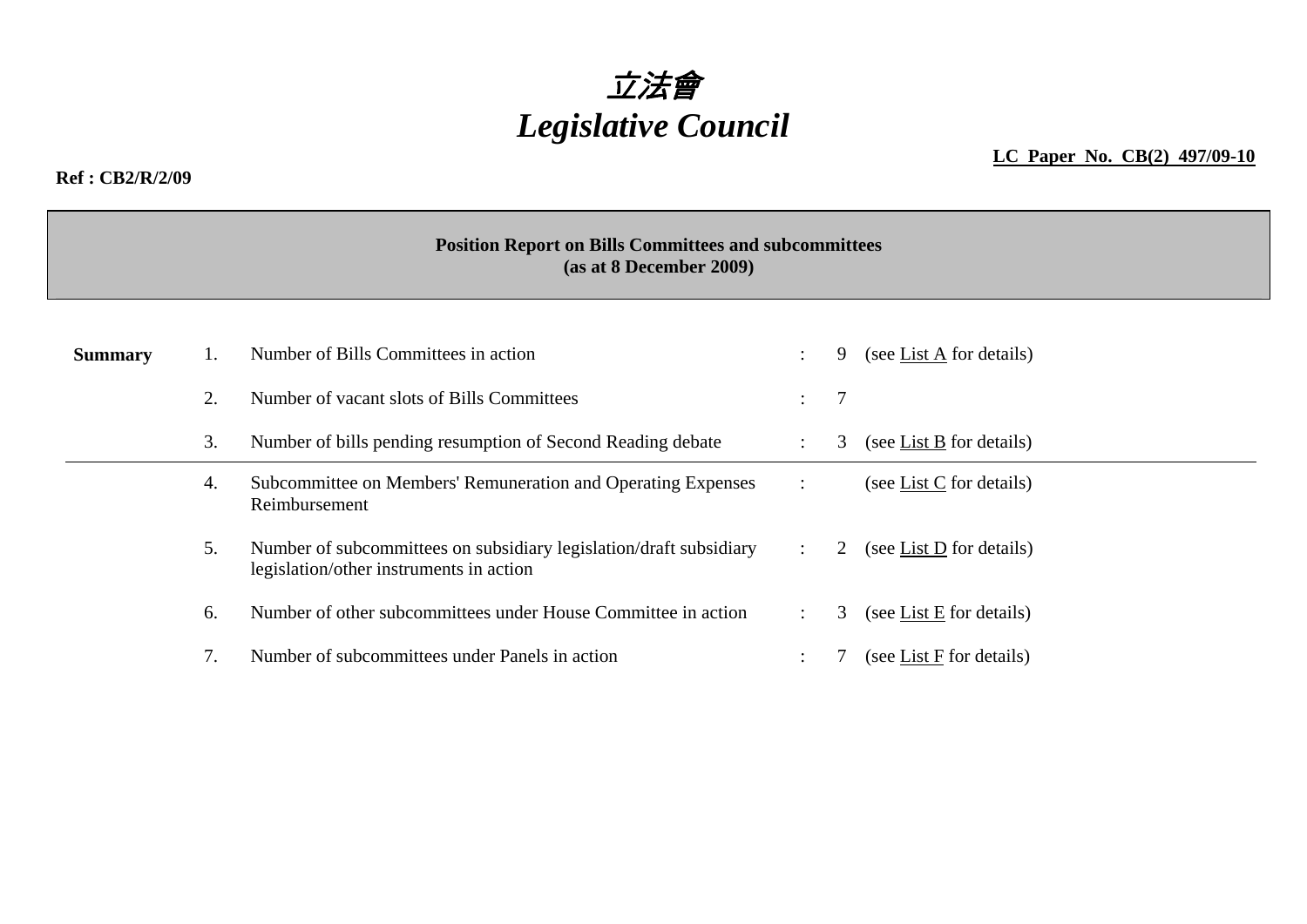

#### **Ref : CB2/R/2/09**

**LC Paper No. CB(2) 497/09-10**

### **Position Report on Bills Committees and subcommittees (as at 8 December 2009)**

| <b>Summary</b> |    | Number of Bills Committees in action                                                                          |                           | 9              | (see List A for details) |
|----------------|----|---------------------------------------------------------------------------------------------------------------|---------------------------|----------------|--------------------------|
|                | 2. | Number of vacant slots of Bills Committees                                                                    | $\mathbb{Z}^{\mathbb{Z}}$ | $\overline{7}$ |                          |
|                | 3. | Number of bills pending resumption of Second Reading debate                                                   |                           | 3              | (see List B for details) |
|                | 4. | Subcommittee on Members' Remuneration and Operating Expenses<br>Reimbursement                                 |                           |                | (see List C for details) |
|                | 5. | Number of subcommittees on subsidiary legislation/draft subsidiary<br>legislation/other instruments in action |                           | 2              | (see List D for details) |
|                | 6. | Number of other subcommittees under House Committee in action                                                 |                           | 3              | (see List E for details) |
|                |    | Number of subcommittees under Panels in action                                                                |                           |                | (see List F for details) |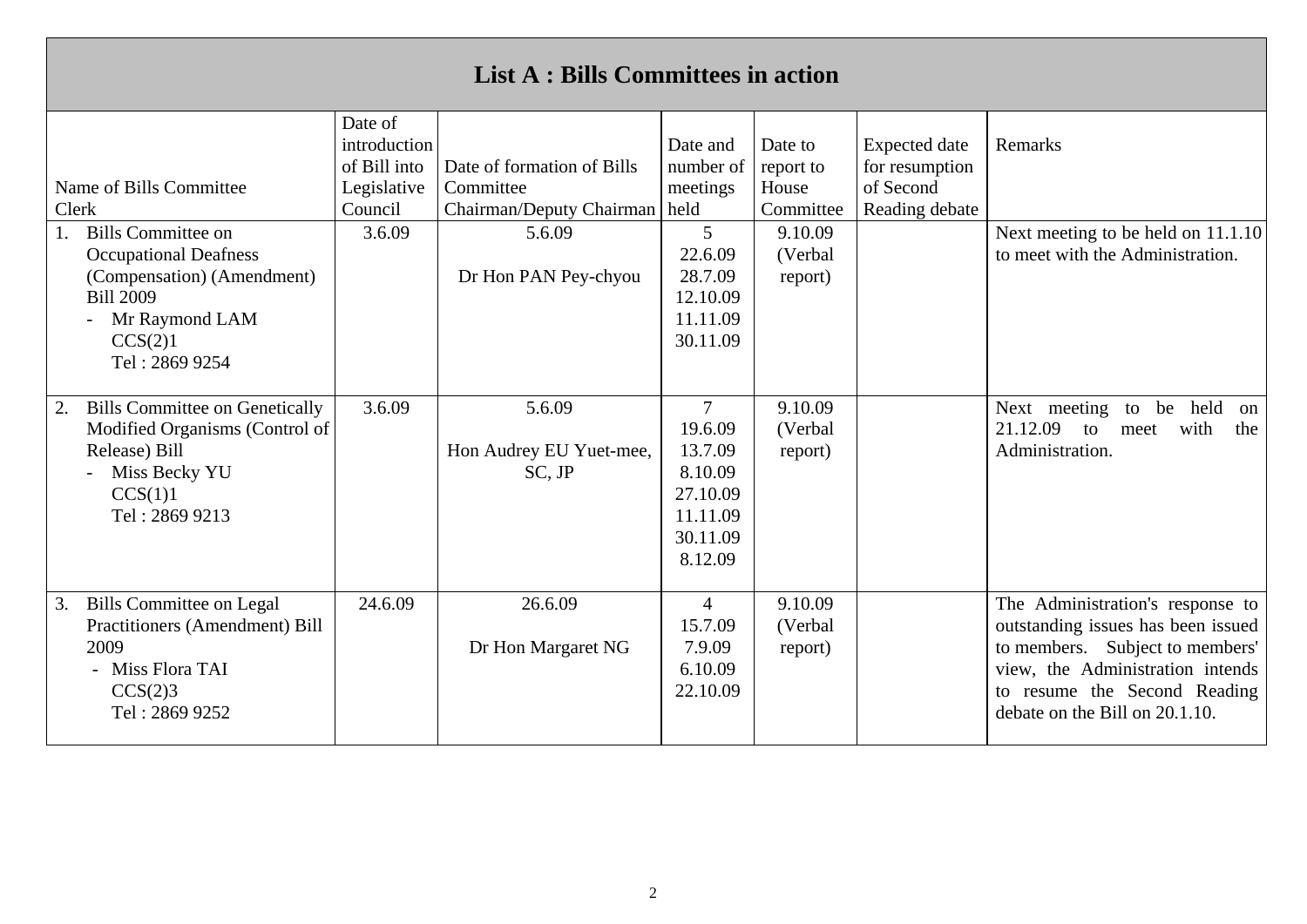| <b>List A: Bills Committees in action</b>                                                                                                                  |                                                                   |                                                                     |                                                                                                |                                            |                                                                       |                                                                                                                                                                                                                 |  |  |  |
|------------------------------------------------------------------------------------------------------------------------------------------------------------|-------------------------------------------------------------------|---------------------------------------------------------------------|------------------------------------------------------------------------------------------------|--------------------------------------------|-----------------------------------------------------------------------|-----------------------------------------------------------------------------------------------------------------------------------------------------------------------------------------------------------------|--|--|--|
| Name of Bills Committee<br>Clerk                                                                                                                           | Date of<br>introduction<br>of Bill into<br>Legislative<br>Council | Date of formation of Bills<br>Committee<br>Chairman/Deputy Chairman | Date and<br>number of<br>meetings<br>held                                                      | Date to<br>report to<br>House<br>Committee | <b>Expected</b> date<br>for resumption<br>of Second<br>Reading debate | Remarks                                                                                                                                                                                                         |  |  |  |
| <b>Bills Committee on</b><br><b>Occupational Deafness</b><br>(Compensation) (Amendment)<br><b>Bill 2009</b><br>Mr Raymond LAM<br>CCS(2)1<br>Tel: 2869 9254 | 3.6.09                                                            | 5.6.09<br>Dr Hon PAN Pey-chyou                                      | $5^{\circ}$<br>22.6.09<br>28.7.09<br>12.10.09<br>11.11.09<br>30.11.09                          | 9.10.09<br>(Verbal<br>report)              |                                                                       | Next meeting to be held on 11.1.10<br>to meet with the Administration.                                                                                                                                          |  |  |  |
| <b>Bills Committee on Genetically</b><br>2.<br>Modified Organisms (Control of<br>Release) Bill<br>Miss Becky YU<br>CCS(1)1<br>Tel: 2869 9213               | 3.6.09                                                            | 5.6.09<br>Hon Audrey EU Yuet-mee,<br>SC, JP                         | $\overline{7}$<br>19.6.09<br>13.7.09<br>8.10.09<br>27.10.09<br>11.11.09<br>30.11.09<br>8.12.09 | 9.10.09<br>(Verbal<br>report)              |                                                                       | Next meeting<br>held<br>to<br>be<br>on<br>21.12.09<br>with<br>the<br>to<br>meet<br>Administration.                                                                                                              |  |  |  |
| <b>Bills Committee on Legal</b><br>3.<br><b>Practitioners (Amendment) Bill</b><br>2009<br>- Miss Flora TAI<br>CCS(2)3<br>Tel: 2869 9252                    | 24.6.09                                                           | 26.6.09<br>Dr Hon Margaret NG                                       | $\overline{4}$<br>15.7.09<br>7.9.09<br>6.10.09<br>22.10.09                                     | 9.10.09<br>(Verbal<br>report)              |                                                                       | The Administration's response to<br>outstanding issues has been issued<br>to members. Subject to members'<br>view, the Administration intends<br>to resume the Second Reading<br>debate on the Bill on 20.1.10. |  |  |  |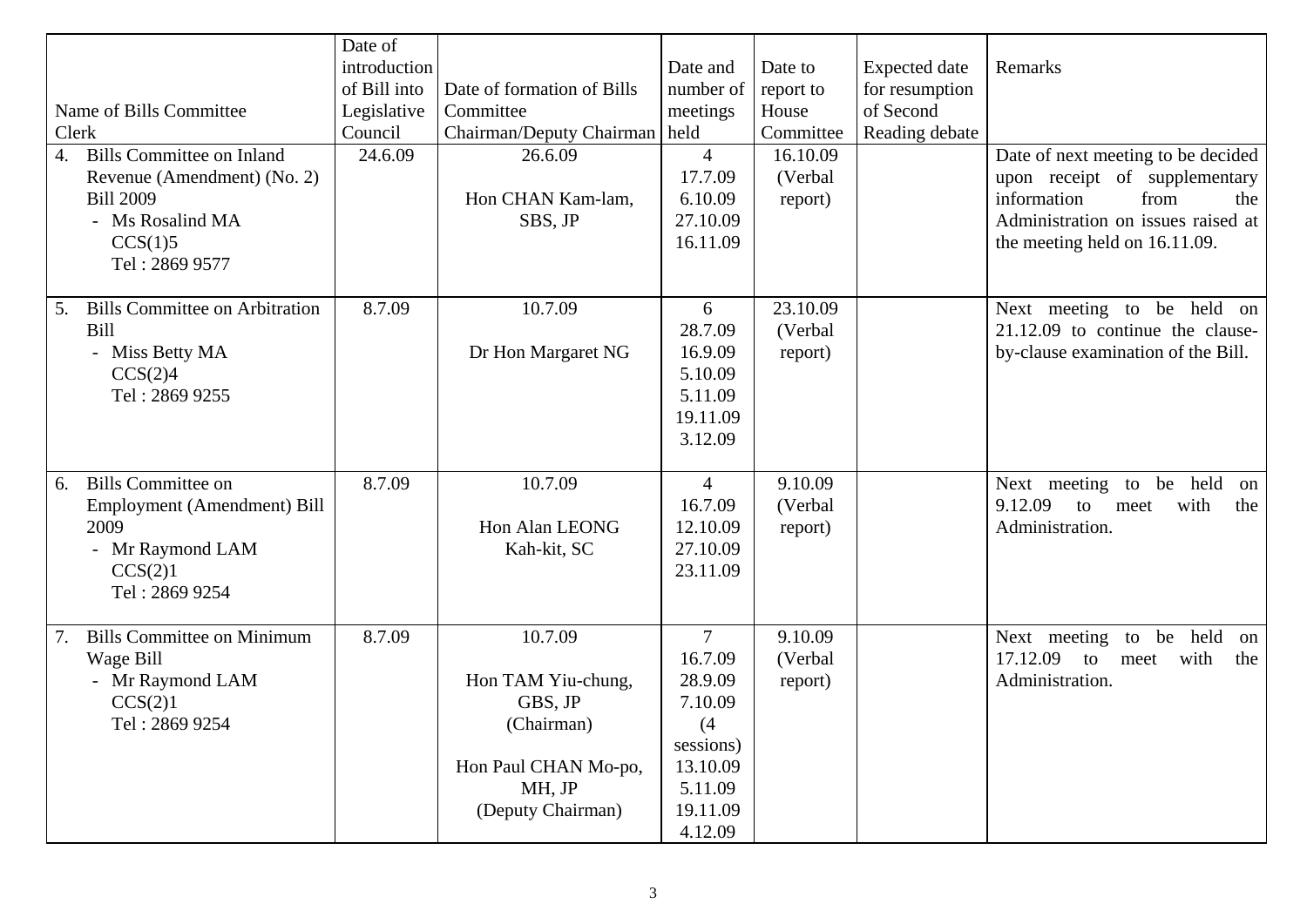| Name of Bills Committee<br>Clerk<br><b>Bills Committee on Inland</b><br>4.<br>Revenue (Amendment) (No. 2)<br><b>Bill 2009</b><br>- Ms Rosalind MA<br>CCS(1)5<br>Tel: 2869 9577 | Date of<br>introduction<br>of Bill into<br>Legislative<br>Council<br>24.6.09 | Date of formation of Bills<br>Committee<br>Chairman/Deputy Chairman   held<br>26.6.09<br>Hon CHAN Kam-lam,<br>SBS, JP | Date and<br>number of<br>meetings<br>$\overline{4}$<br>17.7.09<br>6.10.09<br>27.10.09<br>16.11.09                 | Date to<br>report to<br>House<br>Committee<br>16.10.09<br>(Verbal<br>report) | <b>Expected</b> date<br>for resumption<br>of Second<br>Reading debate | Remarks<br>Date of next meeting to be decided<br>upon receipt of supplementary<br>information<br>from<br>the<br>Administration on issues raised at<br>the meeting held on 16.11.09. |
|--------------------------------------------------------------------------------------------------------------------------------------------------------------------------------|------------------------------------------------------------------------------|-----------------------------------------------------------------------------------------------------------------------|-------------------------------------------------------------------------------------------------------------------|------------------------------------------------------------------------------|-----------------------------------------------------------------------|-------------------------------------------------------------------------------------------------------------------------------------------------------------------------------------|
| <b>Bills Committee on Arbitration</b><br>5.<br><b>Bill</b><br>- Miss Betty MA<br>CCS(2)4<br>Tel: 2869 9255                                                                     | 8.7.09                                                                       | 10.7.09<br>Dr Hon Margaret NG                                                                                         | 6<br>28.7.09<br>16.9.09<br>5.10.09<br>5.11.09<br>19.11.09<br>3.12.09                                              | 23.10.09<br>(Verbal<br>report)                                               |                                                                       | Next meeting to be held on<br>$21.12.09$ to continue the clause-<br>by-clause examination of the Bill.                                                                              |
| <b>Bills Committee on</b><br>6.<br>Employment (Amendment) Bill<br>2009<br>- Mr Raymond LAM<br>CCS(2)1<br>Tel: 2869 9254                                                        | 8.7.09                                                                       | 10.7.09<br>Hon Alan LEONG<br>Kah-kit, SC                                                                              | $\overline{4}$<br>16.7.09<br>12.10.09<br>27.10.09<br>23.11.09                                                     | 9.10.09<br>(Verbal<br>report)                                                |                                                                       | Next meeting to be held<br>on<br>9.12.09<br>to<br>with<br>meet<br>the<br>Administration.                                                                                            |
| <b>Bills Committee on Minimum</b><br>Wage Bill<br>- Mr Raymond LAM<br>CCS(2)1<br>Tel: 2869 9254                                                                                | 8.7.09                                                                       | 10.7.09<br>Hon TAM Yiu-chung,<br>GBS, JP<br>(Chairman)<br>Hon Paul CHAN Mo-po,<br>MH, JP<br>(Deputy Chairman)         | $\overline{7}$<br>16.7.09<br>28.9.09<br>7.10.09<br>(4)<br>sessions)<br>13.10.09<br>5.11.09<br>19.11.09<br>4.12.09 | 9.10.09<br>(Verbal<br>report)                                                |                                                                       | Next meeting to be held<br>on<br>17.12.09<br>with<br>to<br>meet<br>the<br>Administration.                                                                                           |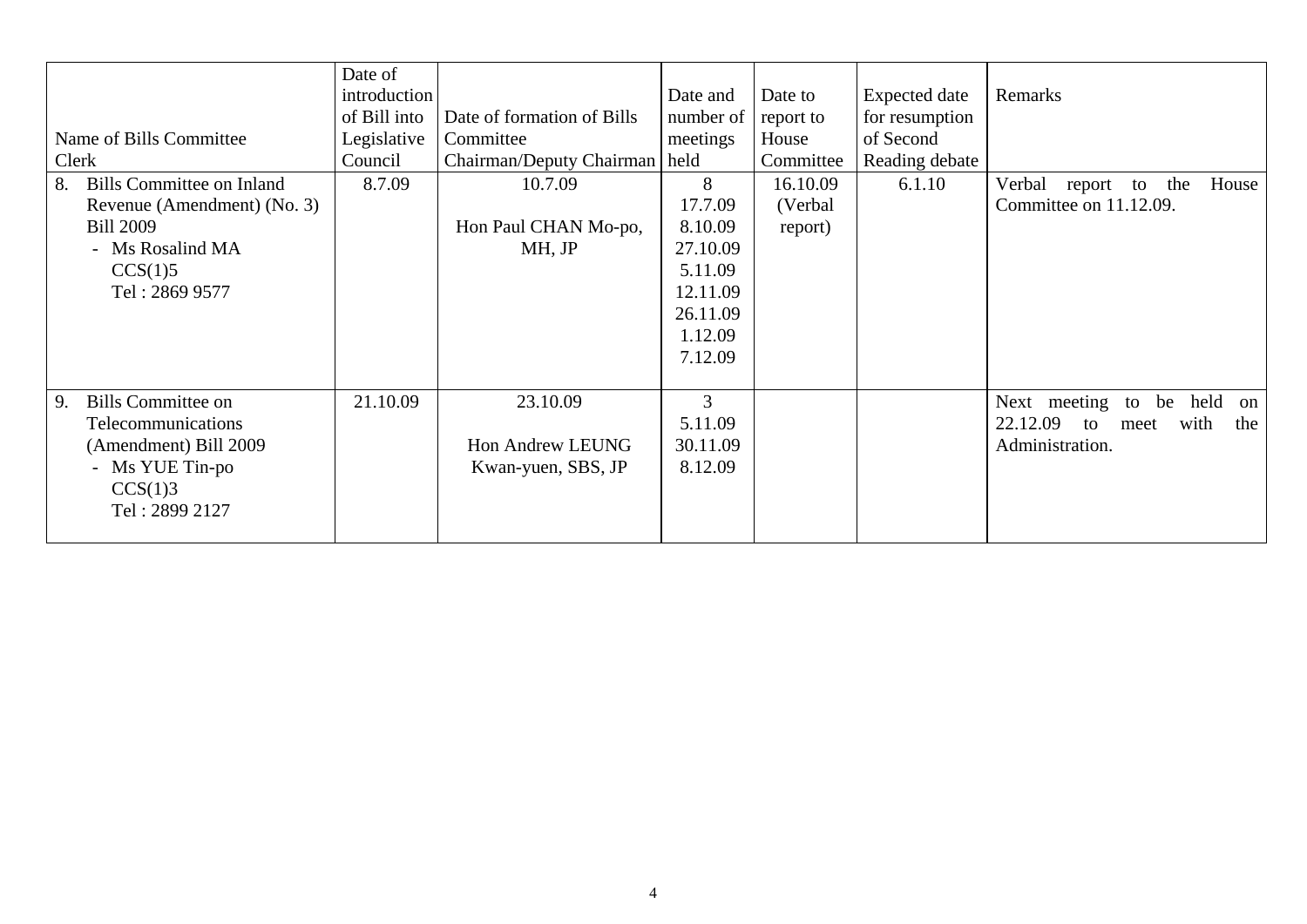| Name of Bills Committee<br>Clerk                                                                                                           | Date of<br>introduction<br>of Bill into<br>Legislative<br>Council | Date of formation of Bills<br>Committee<br>Chairman/Deputy Chairman   held | Date and<br>number of<br>meetings                                                            | Date to<br>report to<br>House<br>Committee | <b>Expected</b> date<br>for resumption<br>of Second<br>Reading debate | Remarks                                                                                            |
|--------------------------------------------------------------------------------------------------------------------------------------------|-------------------------------------------------------------------|----------------------------------------------------------------------------|----------------------------------------------------------------------------------------------|--------------------------------------------|-----------------------------------------------------------------------|----------------------------------------------------------------------------------------------------|
| <b>Bills Committee on Inland</b><br>8.<br>Revenue (Amendment) (No. 3)<br><b>Bill 2009</b><br>- Ms Rosalind MA<br>CCS(1)5<br>Tel: 2869 9577 | 8.7.09                                                            | 10.7.09<br>Hon Paul CHAN Mo-po,<br>MH, JP                                  | 8<br>17.7.09<br>8.10.09<br>27.10.09<br>5.11.09<br>12.11.09<br>26.11.09<br>1.12.09<br>7.12.09 | 16.10.09<br>(Verbal)<br>report)            | 6.1.10                                                                | Verbal<br>report to the<br>House<br>Committee on 11.12.09.                                         |
| <b>Bills Committee on</b><br>9.<br><b>Telecommunications</b><br>(Amendment) Bill 2009<br>- Ms YUE Tin-po<br>CCS(1)3<br>Tel: 2899 2127      | 21.10.09                                                          | 23.10.09<br><b>Hon Andrew LEUNG</b><br>Kwan-yuen, SBS, JP                  | 3<br>5.11.09<br>30.11.09<br>8.12.09                                                          |                                            |                                                                       | Next meeting<br>held<br>be<br>to<br>on<br>22.12.09<br>with<br>the<br>to<br>meet<br>Administration. |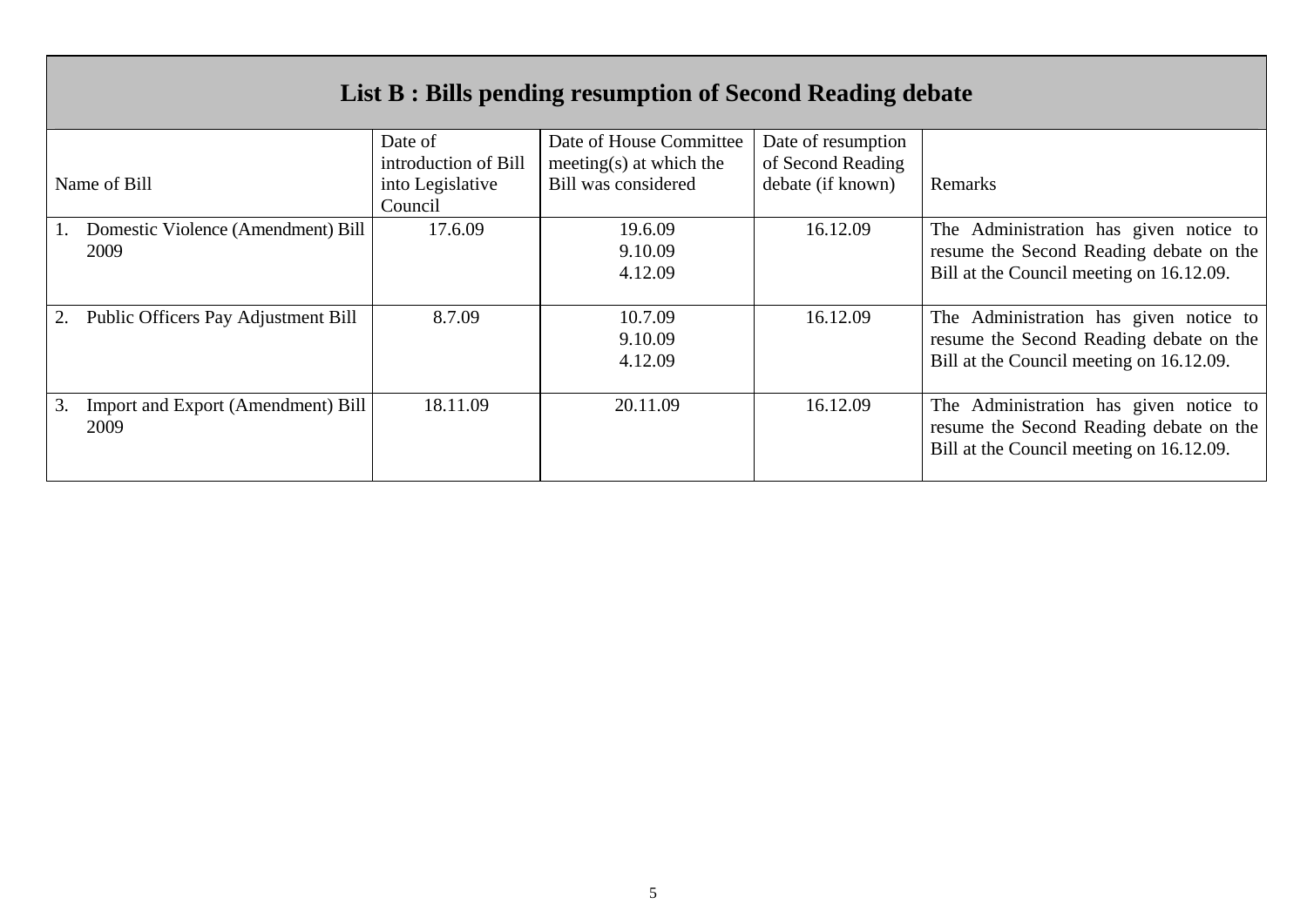| List B : Bills pending resumption of Second Reading debate |                                 |                                                       |                                         |                                                                                                                               |  |  |  |  |
|------------------------------------------------------------|---------------------------------|-------------------------------------------------------|-----------------------------------------|-------------------------------------------------------------------------------------------------------------------------------|--|--|--|--|
|                                                            | Date of<br>introduction of Bill | Date of House Committee<br>meeting $(s)$ at which the | Date of resumption<br>of Second Reading |                                                                                                                               |  |  |  |  |
| Name of Bill                                               | into Legislative<br>Council     | Bill was considered                                   | debate (if known)                       | Remarks                                                                                                                       |  |  |  |  |
| Domestic Violence (Amendment) Bill<br>2009                 | 17.6.09                         | 19.6.09<br>9.10.09<br>4.12.09                         | 16.12.09                                | The Administration has given notice to<br>resume the Second Reading debate on the<br>Bill at the Council meeting on 16.12.09. |  |  |  |  |
| Public Officers Pay Adjustment Bill                        | 8.7.09                          | 10.7.09<br>9.10.09<br>4.12.09                         | 16.12.09                                | The Administration has given notice to<br>resume the Second Reading debate on the<br>Bill at the Council meeting on 16.12.09. |  |  |  |  |
| 3.<br>Import and Export (Amendment) Bill<br>2009           | 18.11.09                        | 20.11.09                                              | 16.12.09                                | The Administration has given notice to<br>resume the Second Reading debate on the<br>Bill at the Council meeting on 16.12.09. |  |  |  |  |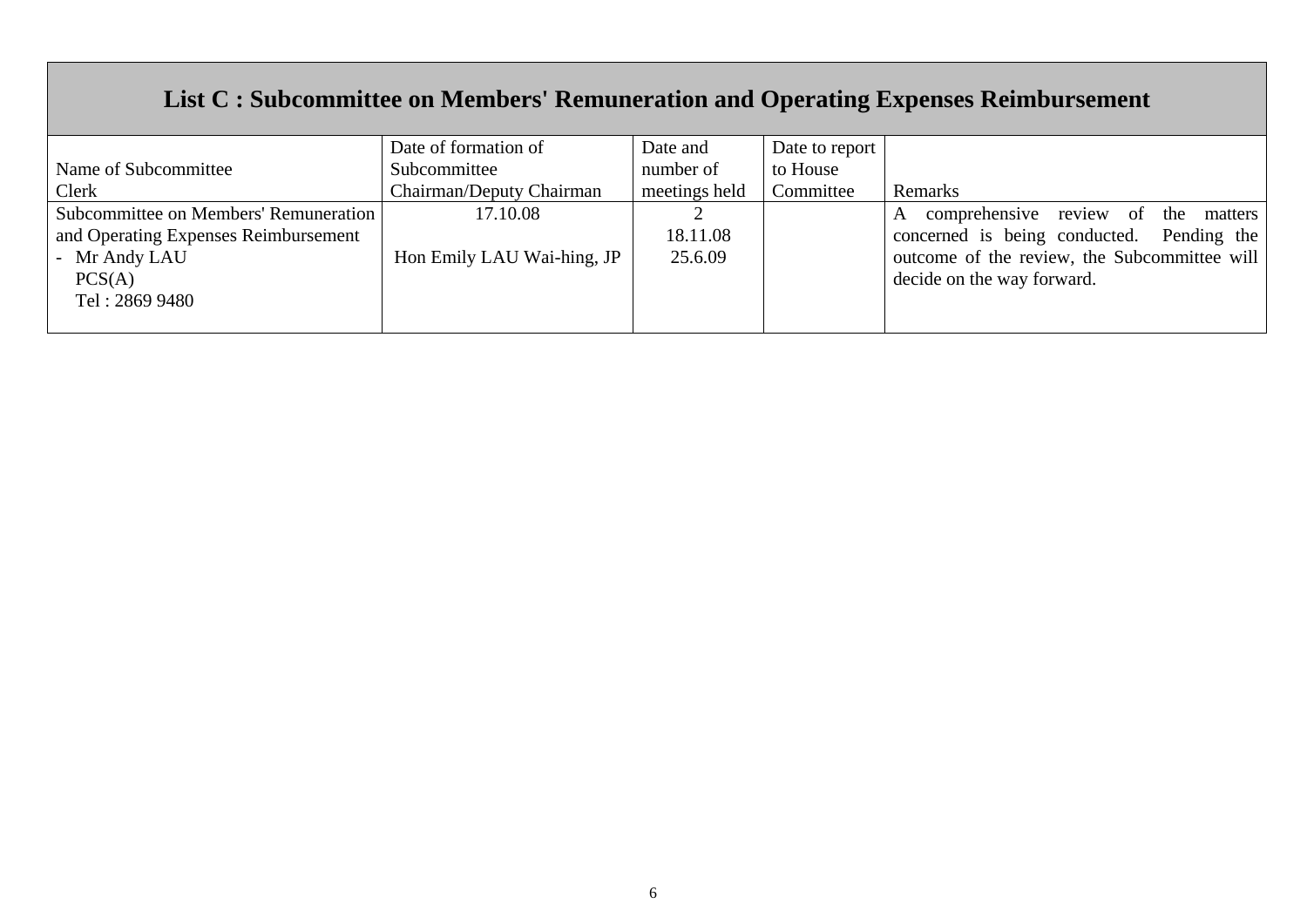# **List C : Subcommittee on Members' Remuneration and Operating Expenses Reimbursement**

|                                       | Date of formation of       | Date and      | Date to report |                                                |
|---------------------------------------|----------------------------|---------------|----------------|------------------------------------------------|
| Name of Subcommittee                  | Subcommittee               | number of     | to House       |                                                |
| Clerk                                 | Chairman/Deputy Chairman   | meetings held | Committee      | Remarks                                        |
| Subcommittee on Members' Remuneration | 17.10.08                   |               |                | comprehensive review of<br>the<br>matters<br>A |
| and Operating Expenses Reimbursement  |                            | 18.11.08      |                | concerned is being conducted. Pending the      |
| - Mr Andy LAU                         | Hon Emily LAU Wai-hing, JP | 25.6.09       |                | outcome of the review, the Subcommittee will   |
| PCS(A)                                |                            |               |                | decide on the way forward.                     |
| Tel: 2869 9480                        |                            |               |                |                                                |
|                                       |                            |               |                |                                                |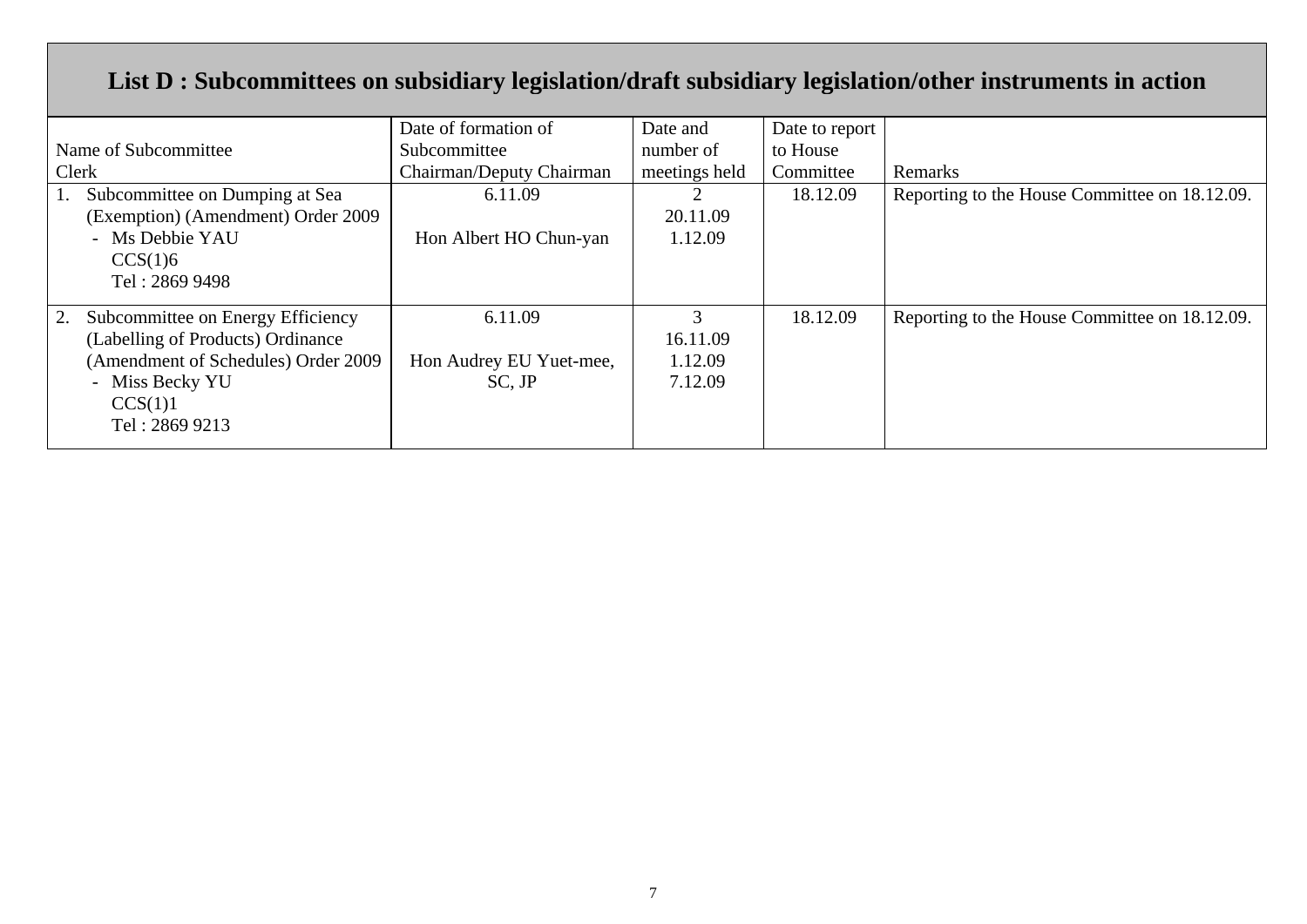# **List D : Subcommittees on subsidiary legislation/draft subsidiary legislation/other instruments in action**

|                                     | Date of formation of     | Date and      | Date to report |                                               |
|-------------------------------------|--------------------------|---------------|----------------|-----------------------------------------------|
| Name of Subcommittee                | Subcommittee             | number of     | to House       |                                               |
| Clerk                               | Chairman/Deputy Chairman | meetings held | Committee      | Remarks                                       |
| Subcommittee on Dumping at Sea      | 6.11.09                  |               | 18.12.09       | Reporting to the House Committee on 18.12.09. |
| (Exemption) (Amendment) Order 2009  |                          | 20.11.09      |                |                                               |
| - Ms Debbie YAU                     | Hon Albert HO Chun-yan   | 1.12.09       |                |                                               |
| CCS(1)6                             |                          |               |                |                                               |
| Tel: 2869 9498                      |                          |               |                |                                               |
| Subcommittee on Energy Efficiency   | 6.11.09                  |               | 18.12.09       | Reporting to the House Committee on 18.12.09. |
| (Labelling of Products) Ordinance   |                          | 16.11.09      |                |                                               |
|                                     |                          |               |                |                                               |
| (Amendment of Schedules) Order 2009 | Hon Audrey EU Yuet-mee,  | 1.12.09       |                |                                               |
| - Miss Becky YU                     | $SC$ , $JP$              | 7.12.09       |                |                                               |
| CCS(1)1                             |                          |               |                |                                               |
| Tel: 2869 9213                      |                          |               |                |                                               |
|                                     |                          |               |                |                                               |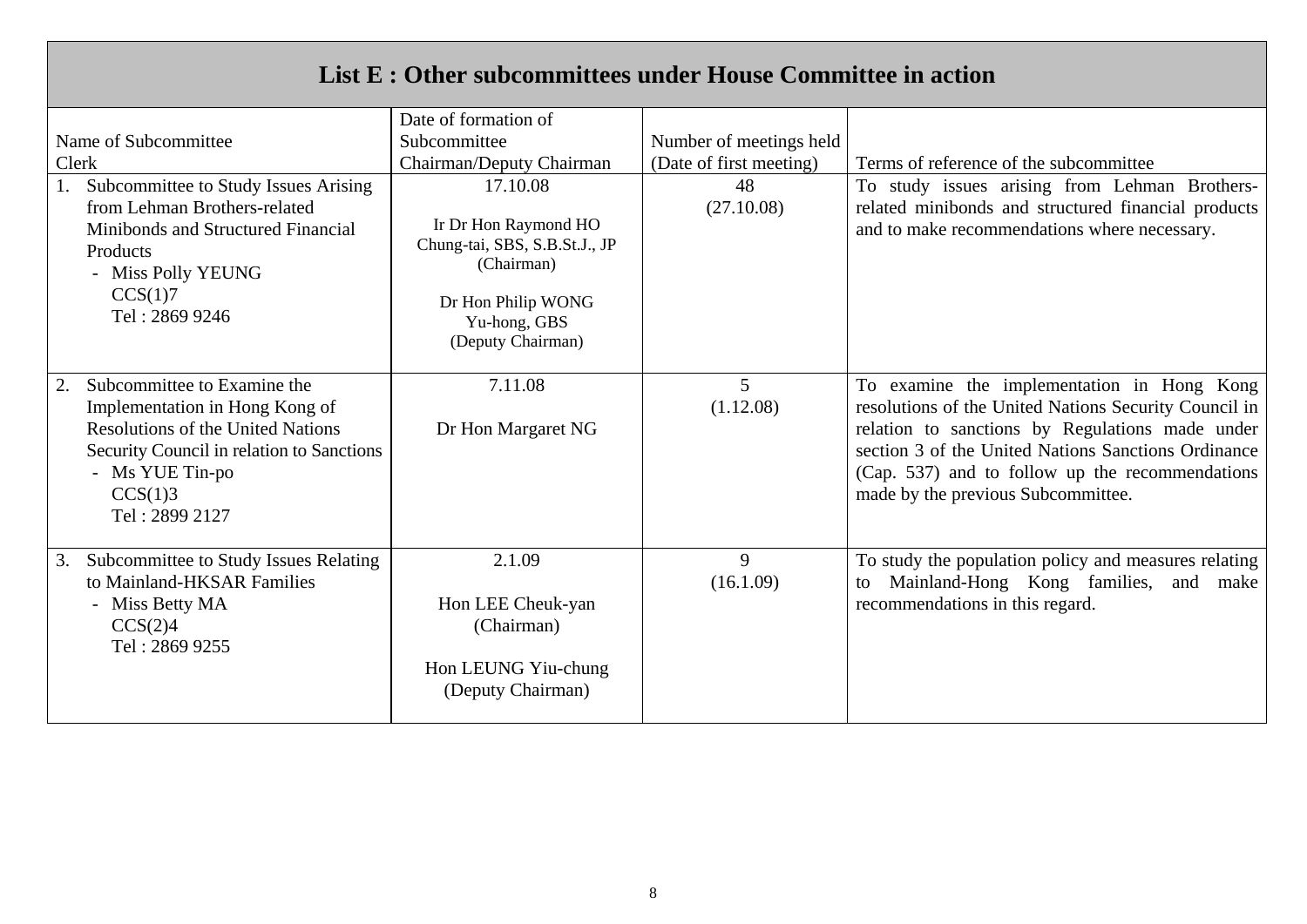# **List E : Other subcommittees under House Committee in action**

|                                                                                                                                                                                                              | Date of formation of                                                                                                                       |                             |                                                                                                                                                                                                                                                                                                        |  |  |
|--------------------------------------------------------------------------------------------------------------------------------------------------------------------------------------------------------------|--------------------------------------------------------------------------------------------------------------------------------------------|-----------------------------|--------------------------------------------------------------------------------------------------------------------------------------------------------------------------------------------------------------------------------------------------------------------------------------------------------|--|--|
| Name of Subcommittee                                                                                                                                                                                         | Subcommittee                                                                                                                               | Number of meetings held     |                                                                                                                                                                                                                                                                                                        |  |  |
| Clerk                                                                                                                                                                                                        | Chairman/Deputy Chairman                                                                                                                   | (Date of first meeting)     | Terms of reference of the subcommittee                                                                                                                                                                                                                                                                 |  |  |
| Subcommittee to Study Issues Arising<br>from Lehman Brothers-related<br>Minibonds and Structured Financial<br>Products<br>- Miss Polly YEUNG<br>CCS(1)7<br>Tel: 2869 9246                                    | 17.10.08<br>Ir Dr Hon Raymond HO<br>Chung-tai, SBS, S.B.St.J., JP<br>(Chairman)<br>Dr Hon Philip WONG<br>Yu-hong, GBS<br>(Deputy Chairman) | 48<br>(27.10.08)            | To study issues arising from Lehman Brothers-<br>related minibonds and structured financial products<br>and to make recommendations where necessary.                                                                                                                                                   |  |  |
| Subcommittee to Examine the<br>2.<br>Implementation in Hong Kong of<br><b>Resolutions of the United Nations</b><br>Security Council in relation to Sanctions<br>- Ms YUE Tin-po<br>CCS(1)3<br>Tel: 2899 2127 | 7.11.08<br>Dr Hon Margaret NG                                                                                                              | $\overline{5}$<br>(1.12.08) | To examine the implementation in Hong Kong<br>resolutions of the United Nations Security Council in<br>relation to sanctions by Regulations made under<br>section 3 of the United Nations Sanctions Ordinance<br>(Cap. 537) and to follow up the recommendations<br>made by the previous Subcommittee. |  |  |
| Subcommittee to Study Issues Relating<br>3.<br>to Mainland-HKSAR Families<br>- Miss Betty MA<br>CCS(2)4<br>Tel: 2869 9255                                                                                    | 2.1.09<br>Hon LEE Cheuk-yan<br>(Chairman)<br>Hon LEUNG Yiu-chung<br>(Deputy Chairman)                                                      | 9<br>(16.1.09)              | To study the population policy and measures relating<br>Mainland-Hong Kong families, and<br>make<br>to<br>recommendations in this regard.                                                                                                                                                              |  |  |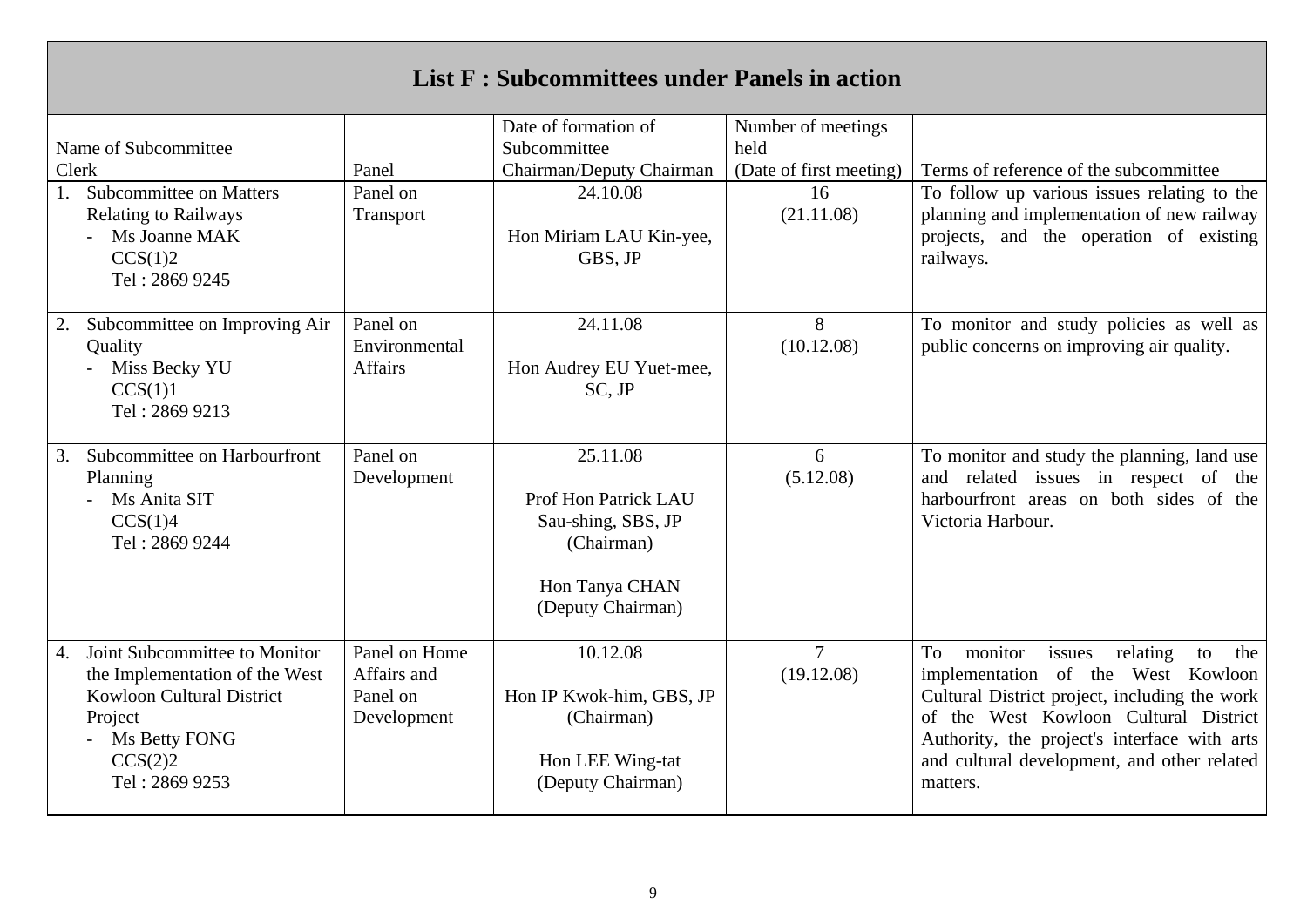| <b>List F: Subcommittees under Panels in action</b>                                                                                                                |                                                         |                                                                                                             |                              |                                                                                                                                                                                                                                                                                             |  |  |  |
|--------------------------------------------------------------------------------------------------------------------------------------------------------------------|---------------------------------------------------------|-------------------------------------------------------------------------------------------------------------|------------------------------|---------------------------------------------------------------------------------------------------------------------------------------------------------------------------------------------------------------------------------------------------------------------------------------------|--|--|--|
|                                                                                                                                                                    |                                                         | Date of formation of                                                                                        | Number of meetings           |                                                                                                                                                                                                                                                                                             |  |  |  |
| Name of Subcommittee                                                                                                                                               |                                                         | Subcommittee                                                                                                | held                         |                                                                                                                                                                                                                                                                                             |  |  |  |
| Clerk                                                                                                                                                              | Panel                                                   | Chairman/Deputy Chairman                                                                                    | (Date of first meeting)      | Terms of reference of the subcommittee                                                                                                                                                                                                                                                      |  |  |  |
| <b>Subcommittee on Matters</b><br>1.<br><b>Relating to Railways</b><br>- Ms Joanne MAK<br>CCS(1)2<br>Tel: 2869 9245                                                | Panel on<br>Transport                                   | 24.10.08<br>Hon Miriam LAU Kin-yee,<br>GBS, JP                                                              | 16<br>(21.11.08)             | To follow up various issues relating to the<br>planning and implementation of new railway<br>projects, and the operation of existing<br>railways.                                                                                                                                           |  |  |  |
| Subcommittee on Improving Air<br>2.<br>Quality<br>Miss Becky YU<br>CCS(1)1<br>Tel: 2869 9213                                                                       | Panel on<br>Environmental<br><b>Affairs</b>             | 24.11.08<br>Hon Audrey EU Yuet-mee,<br>SC, JP                                                               | 8<br>(10.12.08)              | To monitor and study policies as well as<br>public concerns on improving air quality.                                                                                                                                                                                                       |  |  |  |
| Subcommittee on Harbourfront<br>3.<br>Planning<br>Ms Anita SIT<br>CCS(1)4<br>Tel: 2869 9244                                                                        | Panel on<br>Development                                 | 25.11.08<br>Prof Hon Patrick LAU<br>Sau-shing, SBS, JP<br>(Chairman)<br>Hon Tanya CHAN<br>(Deputy Chairman) | 6<br>(5.12.08)               | To monitor and study the planning, land use<br>and related issues in respect of the<br>harbourfront areas on both sides of the<br>Victoria Harbour.                                                                                                                                         |  |  |  |
| Joint Subcommittee to Monitor<br>4.<br>the Implementation of the West<br><b>Kowloon Cultural District</b><br>Project<br>Ms Betty FONG<br>CCS(2)2<br>Tel: 2869 9253 | Panel on Home<br>Affairs and<br>Panel on<br>Development | 10.12.08<br>Hon IP Kwok-him, GBS, JP<br>(Chairman)<br>Hon LEE Wing-tat<br>(Deputy Chairman)                 | $\overline{7}$<br>(19.12.08) | To<br>monitor<br>issues<br>relating<br>to<br>the<br>implementation of the West Kowloon<br>Cultural District project, including the work<br>of the West Kowloon Cultural District<br>Authority, the project's interface with arts<br>and cultural development, and other related<br>matters. |  |  |  |